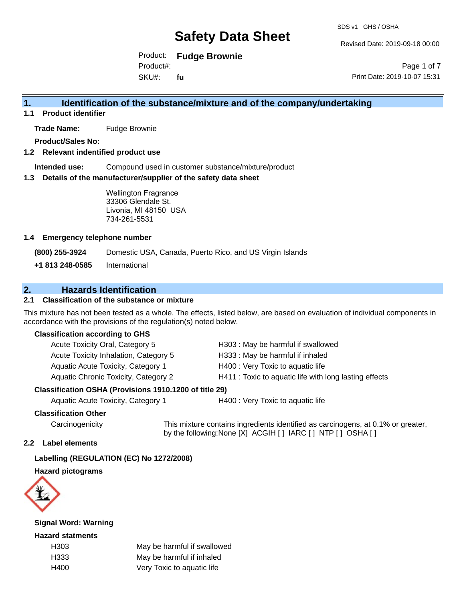Revised Date: 2019-09-18 00:00

Product: **Fudge Brownie**

SKU#: Product#: **fu**

Page 1 of 7 Print Date: 2019-10-07 15:31

## **1. Identification of the substance/mixture and of the company/undertaking**

**1.1 Product identifier**

**Trade Name:** Fudge Brownie

**Product/Sales No:**

#### **1.2 Relevant indentified product use**

**Intended use:** Compound used in customer substance/mixture/product

#### **1.3 Details of the manufacturer/supplier of the safety data sheet**

Wellington Fragrance 33306 Glendale St. Livonia, MI 48150 USA 734-261-5531

#### **1.4 Emergency telephone number**

**(800) 255-3924** Domestic USA, Canada, Puerto Rico, and US Virgin Islands

**+1 813 248-0585** International

### **2. Hazards Identification**

### **2.1 Classification of the substance or mixture**

This mixture has not been tested as a whole. The effects, listed below, are based on evaluation of individual components in accordance with the provisions of the regulation(s) noted below.

#### **Classification according to GHS**

| Acute Toxicity Oral, Category 5       | H303: May be harmful if swallowed                      |
|---------------------------------------|--------------------------------------------------------|
| Acute Toxicity Inhalation, Category 5 | H333: May be harmful if inhaled                        |
| Aquatic Acute Toxicity, Category 1    | H400 : Very Toxic to aquatic life                      |
| Aquatic Chronic Toxicity, Category 2  | H411 : Toxic to aquatic life with long lasting effects |
|                                       |                                                        |

#### **Classification OSHA (Provisions 1910.1200 of title 29)**

Aquatic Acute Toxicity, Category 1 **H400** : Very Toxic to aquatic life

#### **Classification Other**

Carcinogenicity This mixture contains ingredients identified as carcinogens, at 0.1% or greater, by the following:None [X] ACGIH [ ] IARC [ ] NTP [ ] OSHA [ ]

#### **2.2 Label elements**

#### **Labelling (REGULATION (EC) No 1272/2008)**

#### **Hazard pictograms**



#### **Signal Word: Warning**

#### **Hazard statments**

H303 May be harmful if swallowed H333 May be harmful if inhaled H400 Very Toxic to aquatic life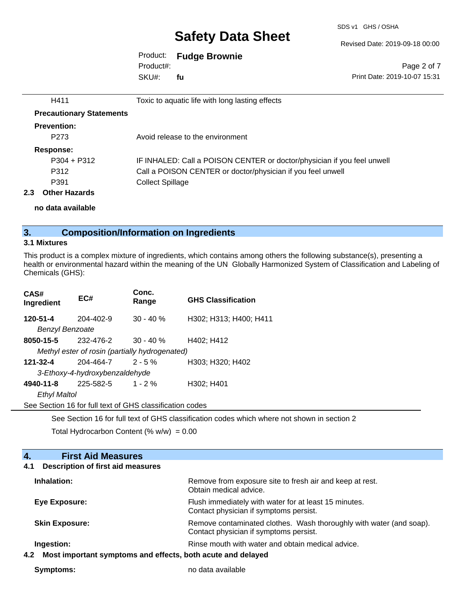Revised Date: 2019-09-18 00:00

### Product: **Fudge Brownie**

SKU#: Product#: **fu**

Page 2 of 7 Print Date: 2019-10-07 15:31

| H411                                     | Toxic to aquatic life with long lasting effects                         |
|------------------------------------------|-------------------------------------------------------------------------|
| <b>Precautionary Statements</b>          |                                                                         |
| <b>Prevention:</b>                       |                                                                         |
| P <sub>273</sub>                         | Avoid release to the environment                                        |
| Response:                                |                                                                         |
| $P304 + P312$                            | IF INHALED: Call a POISON CENTER or doctor/physician if you feel unwell |
| P312                                     | Call a POISON CENTER or doctor/physician if you feel unwell             |
| P391                                     | <b>Collect Spillage</b>                                                 |
| <b>Other Hazards</b><br>$2.3\phantom{0}$ |                                                                         |

**no data available**

## **3. Composition/Information on Ingredients**

### **3.1 Mixtures**

This product is a complex mixture of ingredients, which contains among others the following substance(s), presenting a health or environmental hazard within the meaning of the UN Globally Harmonized System of Classification and Labeling of Chemicals (GHS):

| CAS#<br>Ingredient                             | EC#                            | Conc.<br>Range                                           | <b>GHS Classification</b> |  |
|------------------------------------------------|--------------------------------|----------------------------------------------------------|---------------------------|--|
| 120-51-4                                       | 204-402-9                      | $30 - 40%$                                               | H302; H313; H400; H411    |  |
| <b>Benzyl Benzoate</b>                         |                                |                                                          |                           |  |
| 8050-15-5                                      | 232-476-2                      | $30 - 40 \%$                                             | H402; H412                |  |
| Methyl ester of rosin (partially hydrogenated) |                                |                                                          |                           |  |
| $121 - 32 - 4$                                 | 204-464-7                      | $2 - 5%$                                                 | H303; H320; H402          |  |
|                                                | 3-Ethoxy-4-hydroxybenzaldehyde |                                                          |                           |  |
| 4940-11-8                                      | 225-582-5                      | $1 - 2%$                                                 | H302; H401                |  |
| <b>Ethyl Maltol</b>                            |                                |                                                          |                           |  |
|                                                |                                | See Section 16 for full text of GHS classification codes |                           |  |

See Section 16 for full text of GHS classification codes which where not shown in section 2

Total Hydrocarbon Content (%  $w/w$ ) = 0.00

| <b>First Aid Measures</b><br>4.                                    |                                                                                                               |
|--------------------------------------------------------------------|---------------------------------------------------------------------------------------------------------------|
| Description of first aid measures<br>4.1                           |                                                                                                               |
| Inhalation:                                                        | Remove from exposure site to fresh air and keep at rest.<br>Obtain medical advice.                            |
| Eye Exposure:                                                      | Flush immediately with water for at least 15 minutes.<br>Contact physician if symptoms persist.               |
| <b>Skin Exposure:</b>                                              | Remove contaminated clothes. Wash thoroughly with water (and soap).<br>Contact physician if symptoms persist. |
| Ingestion:                                                         | Rinse mouth with water and obtain medical advice.                                                             |
| Most important symptoms and effects, both acute and delayed<br>4.2 |                                                                                                               |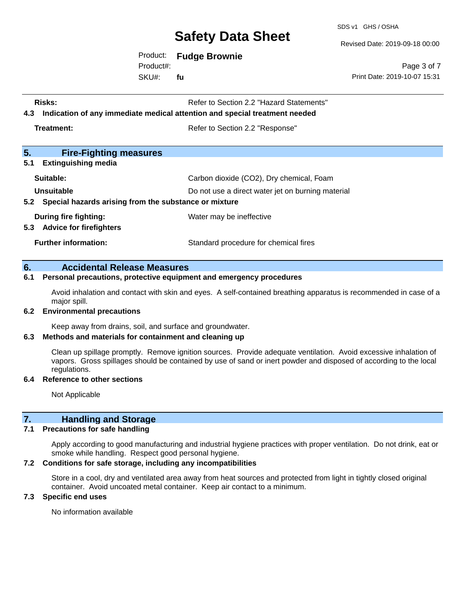SDS v1 GHS / OSHA

Revised Date: 2019-09-18 00:00

Product: **Fudge Brownie**

SKU#: Product#: **fu**

Page 3 of 7 Print Date: 2019-10-07 15:31

| <b>Risks:</b><br>Indication of any immediate medical attention and special treatment needed<br>4.3 | Refer to Section 2.2 "Hazard Statements"          |
|----------------------------------------------------------------------------------------------------|---------------------------------------------------|
| Treatment:                                                                                         | Refer to Section 2.2 "Response"                   |
| 5.<br><b>Fire-Fighting measures</b><br>5.1<br><b>Extinguishing media</b>                           |                                                   |
| Suitable:                                                                                          | Carbon dioxide (CO2), Dry chemical, Foam          |
| Unsuitable<br>5.2 Special hazards arising from the substance or mixture                            | Do not use a direct water jet on burning material |
| During fire fighting:<br>5.3 Advice for firefighters                                               | Water may be ineffective                          |
| <b>Further information:</b>                                                                        | Standard procedure for chemical fires             |

#### **6. Accidental Release Measures**

#### **6.1 Personal precautions, protective equipment and emergency procedures**

Avoid inhalation and contact with skin and eyes. A self-contained breathing apparatus is recommended in case of a major spill.

#### **6.2 Environmental precautions**

Keep away from drains, soil, and surface and groundwater.

#### **6.3 Methods and materials for containment and cleaning up**

Clean up spillage promptly. Remove ignition sources. Provide adequate ventilation. Avoid excessive inhalation of vapors. Gross spillages should be contained by use of sand or inert powder and disposed of according to the local regulations.

#### **6.4 Reference to other sections**

Not Applicable

#### **7. Handling and Storage**

#### **7.1 Precautions for safe handling**

Apply according to good manufacturing and industrial hygiene practices with proper ventilation. Do not drink, eat or smoke while handling. Respect good personal hygiene.

#### **7.2 Conditions for safe storage, including any incompatibilities**

Store in a cool, dry and ventilated area away from heat sources and protected from light in tightly closed original container. Avoid uncoated metal container. Keep air contact to a minimum.

#### **7.3 Specific end uses**

No information available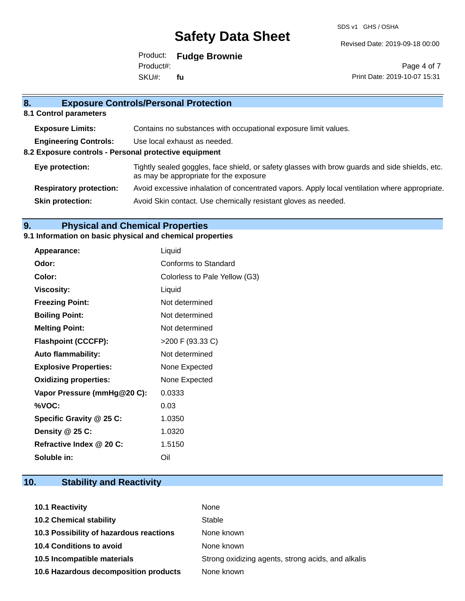Revised Date: 2019-09-18 00:00

Product: **Fudge Brownie** SKU#: Product#: **fu**

Page 4 of 7 Print Date: 2019-10-07 15:31

## **8. Exposure Controls/Personal Protection 8.1 Control parameters Exposure Limits:** Contains no substances with occupational exposure limit values. **Engineering Controls:** Use local exhaust as needed. **8.2 Exposure controls - Personal protective equipment Eye protection:** Tightly sealed goggles, face shield, or safety glasses with brow guards and side shields, etc. as may be appropriate for the exposure **Respiratory protection:** Avoid excessive inhalation of concentrated vapors. Apply local ventilation where appropriate. **Skin protection:** Avoid Skin contact. Use chemically resistant gloves as needed.

### **9. Physical and Chemical Properties**

#### **9.1 Information on basic physical and chemical properties**

| Appearance:                  | Liquid                        |
|------------------------------|-------------------------------|
| Odor:                        | Conforms to Standard          |
| Color:                       | Colorless to Pale Yellow (G3) |
| <b>Viscosity:</b>            | Liquid                        |
| <b>Freezing Point:</b>       | Not determined                |
| <b>Boiling Point:</b>        | Not determined                |
| <b>Melting Point:</b>        | Not determined                |
| <b>Flashpoint (CCCFP):</b>   | $>$ 200 F (93.33 C)           |
| <b>Auto flammability:</b>    | Not determined                |
| <b>Explosive Properties:</b> | None Expected                 |
| <b>Oxidizing properties:</b> | None Expected                 |
| Vapor Pressure (mmHg@20 C):  | 0.0333                        |
| %VOC:                        | 0.03                          |
| Specific Gravity @ 25 C:     | 1.0350                        |
| Density @ 25 C:              | 1.0320                        |
| Refractive Index @ 20 C:     | 1.5150                        |
| Soluble in:                  | Oil                           |

## **10. Stability and Reactivity**

| 10.1 Reactivity                         | None                                               |
|-----------------------------------------|----------------------------------------------------|
| <b>10.2 Chemical stability</b>          | Stable                                             |
| 10.3 Possibility of hazardous reactions | None known                                         |
| <b>10.4 Conditions to avoid</b>         | None known                                         |
| 10.5 Incompatible materials             | Strong oxidizing agents, strong acids, and alkalis |
| 10.6 Hazardous decomposition products   | None known                                         |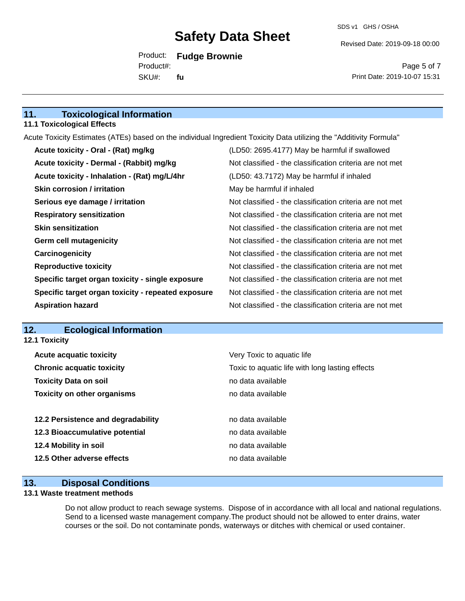Revised Date: 2019-09-18 00:00

Product: **Fudge Brownie** SKU#: Product#: **fu**

Page 5 of 7 Print Date: 2019-10-07 15:31

### **11. Toxicological Information**

#### **11.1 Toxicological Effects**

Acute Toxicity Estimates (ATEs) based on the individual Ingredient Toxicity Data utilizing the "Additivity Formula"

| Acute toxicity - Oral - (Rat) mg/kg                | (LD50: 2695.4177) May be harmful if swallowed            |
|----------------------------------------------------|----------------------------------------------------------|
| Acute toxicity - Dermal - (Rabbit) mg/kg           | Not classified - the classification criteria are not met |
| Acute toxicity - Inhalation - (Rat) mg/L/4hr       | (LD50: 43.7172) May be harmful if inhaled                |
| <b>Skin corrosion / irritation</b>                 | May be harmful if inhaled                                |
| Serious eye damage / irritation                    | Not classified - the classification criteria are not met |
| <b>Respiratory sensitization</b>                   | Not classified - the classification criteria are not met |
| <b>Skin sensitization</b>                          | Not classified - the classification criteria are not met |
| <b>Germ cell mutagenicity</b>                      | Not classified - the classification criteria are not met |
| Carcinogenicity                                    | Not classified - the classification criteria are not met |
| <b>Reproductive toxicity</b>                       | Not classified - the classification criteria are not met |
| Specific target organ toxicity - single exposure   | Not classified - the classification criteria are not met |
| Specific target organ toxicity - repeated exposure | Not classified - the classification criteria are not met |
| <b>Aspiration hazard</b>                           | Not classified - the classification criteria are not met |

### **12. Ecological Information**

**12.1 Toxicity**

| <b>Acute acquatic toxicity</b>     | Very Toxic to aquatic life                      |
|------------------------------------|-------------------------------------------------|
| <b>Chronic acquatic toxicity</b>   | Toxic to aquatic life with long lasting effects |
| <b>Toxicity Data on soil</b>       | no data available                               |
| <b>Toxicity on other organisms</b> | no data available                               |
|                                    |                                                 |
| 12.2 Persistence and degradability | no data available                               |
| 12.3 Bioaccumulative potential     | no data available                               |
| 12.4 Mobility in soil              | no data available                               |
| 12.5 Other adverse effects         | no data available                               |
|                                    |                                                 |

### **13. Disposal Conditions**

#### **13.1 Waste treatment methods**

Do not allow product to reach sewage systems. Dispose of in accordance with all local and national regulations. Send to a licensed waste management company.The product should not be allowed to enter drains, water courses or the soil. Do not contaminate ponds, waterways or ditches with chemical or used container.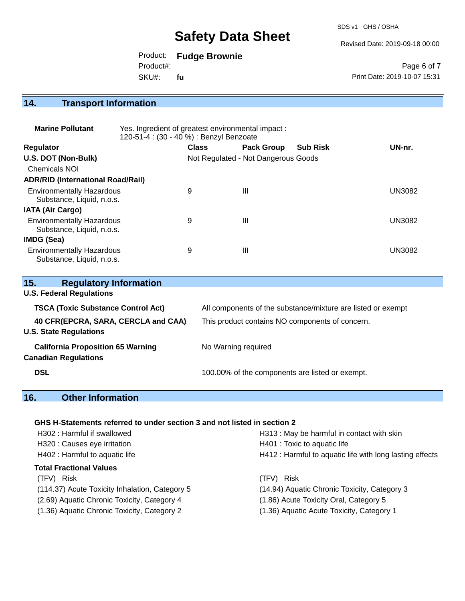SDS v1 GHS / OSHA

Revised Date: 2019-09-18 00:00

Product: **Fudge Brownie**

SKU#: Product#: **fu**

Page 6 of 7 Print Date: 2019-10-07 15:31

**14. Transport Information** 

| <b>Marine Pollutant</b>                                       | Yes. Ingredient of greatest environmental impact:<br>120-51-4 : (30 - 40 %) : Benzyl Benzoate |              |                                     |                 |               |
|---------------------------------------------------------------|-----------------------------------------------------------------------------------------------|--------------|-------------------------------------|-----------------|---------------|
| <b>Regulator</b>                                              |                                                                                               | <b>Class</b> | <b>Pack Group</b>                   | <b>Sub Risk</b> | UN-nr.        |
| U.S. DOT (Non-Bulk)                                           |                                                                                               |              | Not Regulated - Not Dangerous Goods |                 |               |
| <b>Chemicals NOI</b>                                          |                                                                                               |              |                                     |                 |               |
| <b>ADR/RID (International Road/Rail)</b>                      |                                                                                               |              |                                     |                 |               |
| <b>Environmentally Hazardous</b><br>Substance, Liquid, n.o.s. |                                                                                               | 9            | Ш                                   |                 | <b>UN3082</b> |
| <b>IATA (Air Cargo)</b>                                       |                                                                                               |              |                                     |                 |               |
| <b>Environmentally Hazardous</b><br>Substance, Liquid, n.o.s. |                                                                                               | 9            | Ш                                   |                 | <b>UN3082</b> |
| IMDG (Sea)                                                    |                                                                                               |              |                                     |                 |               |
| <b>Environmentally Hazardous</b><br>Substance, Liquid, n.o.s. |                                                                                               | 9            | Ш                                   |                 | <b>UN3082</b> |

| 15.<br><b>Regulatory Information</b><br><b>U.S. Federal Regulations</b>          |                                                                                                                 |
|----------------------------------------------------------------------------------|-----------------------------------------------------------------------------------------------------------------|
| <b>TSCA (Toxic Substance Control Act)</b><br>40 CFR(EPCRA, SARA, CERCLA and CAA) | All components of the substance/mixture are listed or exempt<br>This product contains NO components of concern. |
| <b>U.S. State Regulations</b>                                                    |                                                                                                                 |
| <b>California Proposition 65 Warning</b><br><b>Canadian Regulations</b>          | No Warning required                                                                                             |
| <b>DSL</b>                                                                       | 100.00% of the components are listed or exempt.                                                                 |

## **16. Other Information**

#### **GHS H-Statements referred to under section 3 and not listed in section 2**

| H302: Harmful if swallowed                     | H313 : May be harmful in contact with skin              |
|------------------------------------------------|---------------------------------------------------------|
| H320 : Causes eye irritation                   | H401 : Toxic to aquatic life                            |
| H402 : Harmful to aquatic life                 | H412: Harmful to aquatic life with long lasting effects |
| <b>Total Fractional Values</b>                 |                                                         |
| (TFV) Risk                                     | (TFV) Risk                                              |
| (114.37) Acute Toxicity Inhalation, Category 5 | (14.94) Aquatic Chronic Toxicity, Category 3            |
| (2.69) Aquatic Chronic Toxicity, Category 4    | (1.86) Acute Toxicity Oral, Category 5                  |
| (1.36) Aquatic Chronic Toxicity, Category 2    | (1.36) Aquatic Acute Toxicity, Category 1               |